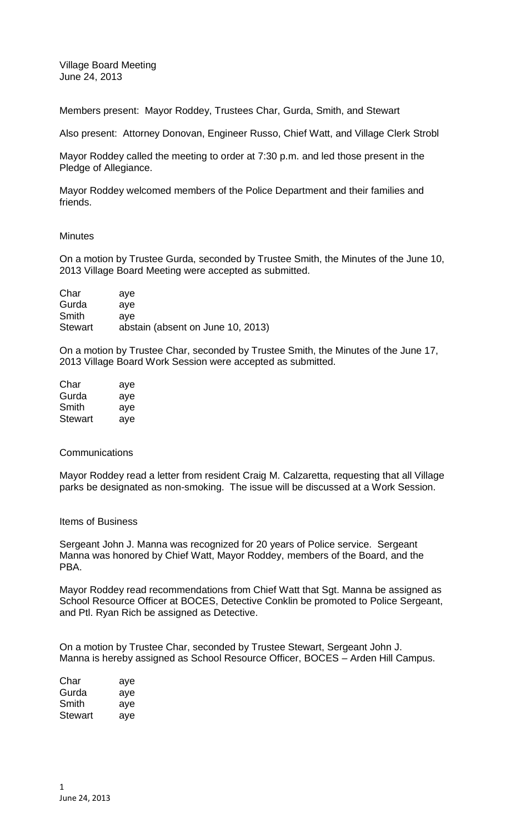Village Board Meeting June 24, 2013

Members present: Mayor Roddey, Trustees Char, Gurda, Smith, and Stewart

Also present: Attorney Donovan, Engineer Russo, Chief Watt, and Village Clerk Strobl

Mayor Roddey called the meeting to order at 7:30 p.m. and led those present in the Pledge of Allegiance.

Mayor Roddey welcomed members of the Police Department and their families and friends.

### **Minutes**

On a motion by Trustee Gurda, seconded by Trustee Smith, the Minutes of the June 10, 2013 Village Board Meeting were accepted as submitted.

| Char           | ave                               |
|----------------|-----------------------------------|
| Gurda          | ave                               |
| Smith          | ave                               |
| <b>Stewart</b> | abstain (absent on June 10, 2013) |

On a motion by Trustee Char, seconded by Trustee Smith, the Minutes of the June 17, 2013 Village Board Work Session were accepted as submitted.

| Char    | aye |
|---------|-----|
| Gurda   | aye |
| Smith   | aye |
| Stewart | aye |

#### **Communications**

Mayor Roddey read a letter from resident Craig M. Calzaretta, requesting that all Village parks be designated as non-smoking. The issue will be discussed at a Work Session.

#### Items of Business

Sergeant John J. Manna was recognized for 20 years of Police service. Sergeant Manna was honored by Chief Watt, Mayor Roddey, members of the Board, and the PBA.

Mayor Roddey read recommendations from Chief Watt that Sgt. Manna be assigned as School Resource Officer at BOCES, Detective Conklin be promoted to Police Sergeant, and Ptl. Ryan Rich be assigned as Detective.

On a motion by Trustee Char, seconded by Trustee Stewart, Sergeant John J. Manna is hereby assigned as School Resource Officer, BOCES – Arden Hill Campus.

| Char    | aye |
|---------|-----|
| Gurda   | aye |
| Smith   | aye |
| Stewart | aye |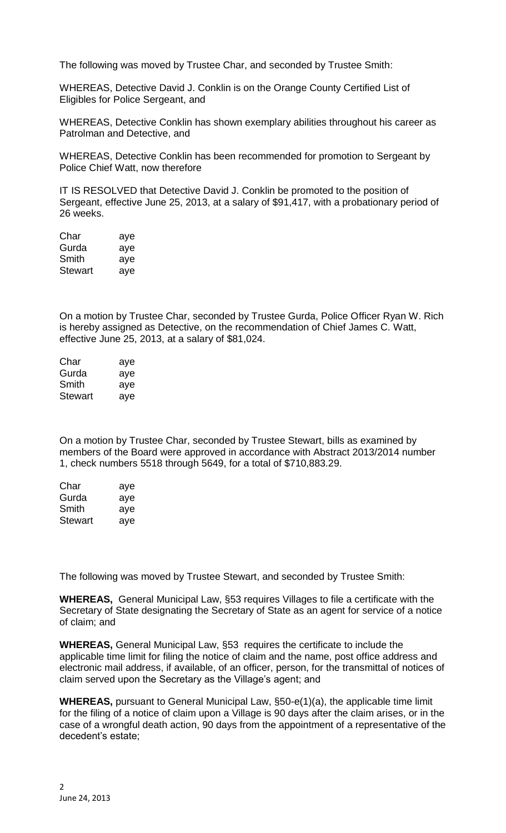The following was moved by Trustee Char, and seconded by Trustee Smith:

WHEREAS, Detective David J. Conklin is on the Orange County Certified List of Eligibles for Police Sergeant, and

WHEREAS, Detective Conklin has shown exemplary abilities throughout his career as Patrolman and Detective, and

WHEREAS, Detective Conklin has been recommended for promotion to Sergeant by Police Chief Watt, now therefore

IT IS RESOLVED that Detective David J. Conklin be promoted to the position of Sergeant, effective June 25, 2013, at a salary of \$91,417, with a probationary period of 26 weeks.

| Char           | aye |
|----------------|-----|
| Gurda          | aye |
| Smith          | aye |
| <b>Stewart</b> | aye |

On a motion by Trustee Char, seconded by Trustee Gurda, Police Officer Ryan W. Rich is hereby assigned as Detective, on the recommendation of Chief James C. Watt, effective June 25, 2013, at a salary of \$81,024.

| Char    | aye |
|---------|-----|
| Gurda   | aye |
| Smith   | aye |
| Stewart | aye |

On a motion by Trustee Char, seconded by Trustee Stewart, bills as examined by members of the Board were approved in accordance with Abstract 2013/2014 number 1, check numbers 5518 through 5649, for a total of \$710,883.29.

| Char           | aye |
|----------------|-----|
| Gurda          | aye |
| Smith          | aye |
| <b>Stewart</b> | aye |

The following was moved by Trustee Stewart, and seconded by Trustee Smith:

**WHEREAS,** General Municipal Law, §53 requires Villages to file a certificate with the Secretary of State designating the Secretary of State as an agent for service of a notice of claim; and

**WHEREAS,** General Municipal Law, §53 requires the certificate to include the applicable time limit for filing the notice of claim and the name, post office address and electronic mail address, if available, of an officer, person, for the transmittal of notices of claim served upon the Secretary as the Village's agent; and

**WHEREAS,** pursuant to General Municipal Law, §50-e(1)(a), the applicable time limit for the filing of a notice of claim upon a Village is 90 days after the claim arises, or in the case of a wrongful death action, 90 days from the appointment of a representative of the decedent's estate;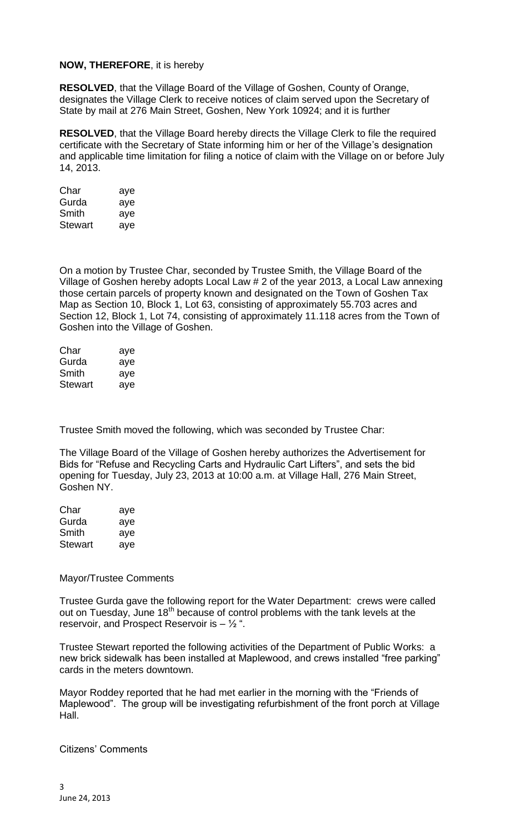# **NOW, THEREFORE**, it is hereby

**RESOLVED**, that the Village Board of the Village of Goshen, County of Orange, designates the Village Clerk to receive notices of claim served upon the Secretary of State by mail at 276 Main Street, Goshen, New York 10924; and it is further

**RESOLVED**, that the Village Board hereby directs the Village Clerk to file the required certificate with the Secretary of State informing him or her of the Village's designation and applicable time limitation for filing a notice of claim with the Village on or before July 14, 2013.

| Char    | aye |
|---------|-----|
| Gurda   | aye |
| Smith   | aye |
| Stewart | aye |

On a motion by Trustee Char, seconded by Trustee Smith, the Village Board of the Village of Goshen hereby adopts Local Law # 2 of the year 2013, a Local Law annexing those certain parcels of property known and designated on the Town of Goshen Tax Map as Section 10, Block 1, Lot 63, consisting of approximately 55.703 acres and Section 12, Block 1, Lot 74, consisting of approximately 11.118 acres from the Town of Goshen into the Village of Goshen.

| Char           | aye |
|----------------|-----|
| Gurda          | aye |
| Smith          | aye |
| <b>Stewart</b> | aye |

Trustee Smith moved the following, which was seconded by Trustee Char:

The Village Board of the Village of Goshen hereby authorizes the Advertisement for Bids for "Refuse and Recycling Carts and Hydraulic Cart Lifters", and sets the bid opening for Tuesday, July 23, 2013 at 10:00 a.m. at Village Hall, 276 Main Street, Goshen NY.

| Char           | aye |
|----------------|-----|
| Gurda          | aye |
| Smith          | aye |
| <b>Stewart</b> | aye |

## Mayor/Trustee Comments

Trustee Gurda gave the following report for the Water Department: crews were called out on Tuesday, June  $18<sup>th</sup>$  because of control problems with the tank levels at the reservoir, and Prospect Reservoir is  $\frac{1}{2}$ ".

Trustee Stewart reported the following activities of the Department of Public Works: a new brick sidewalk has been installed at Maplewood, and crews installed "free parking" cards in the meters downtown.

Mayor Roddey reported that he had met earlier in the morning with the "Friends of Maplewood". The group will be investigating refurbishment of the front porch at Village Hall.

Citizens' Comments